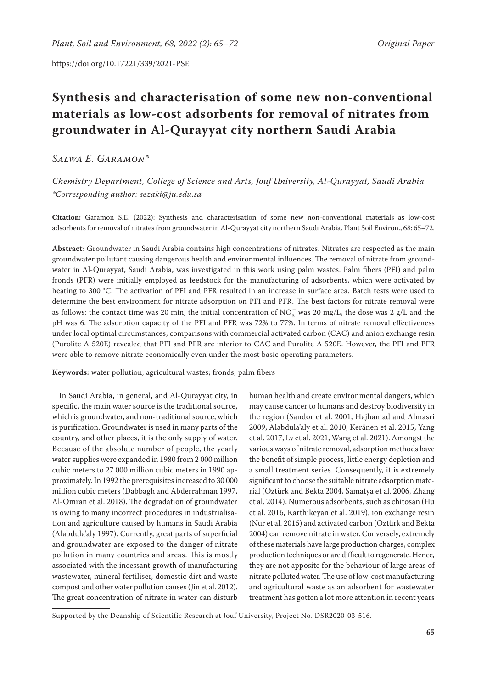# **Synthesis and characterisation of some new non-conventional materials as low-cost adsorbents for removal of nitrates from groundwater in Al-Qurayyat city northern Saudi Arabia**

*Salwa E. Garamon\**

*Chemistry Department, College of Science and Arts, Jouf University, Al-Qurayyat, Saudi Arabia \*Corresponding author: sezaki@ju.edu.sa*

**Citation:** Garamon S.E. (2022): Synthesis and characterisation of some new non-conventional materials as low-cost adsorbents for removal of nitrates from groundwater in Al-Qurayyat city northern Saudi Arabia. Plant Soil Environ., 68: 65–72.

**Abstract:** Groundwater in Saudi Arabia contains high concentrations of nitrates. Nitrates are respected as the main groundwater pollutant causing dangerous health and environmental influences. The removal of nitrate from groundwater in Al-Qurayyat, Saudi Arabia, was investigated in this work using palm wastes. Palm fibers (PFI) and palm fronds (PFR) were initially employed as feedstock for the manufacturing of adsorbents, which were activated by heating to 300 °C. The activation of PFI and PFR resulted in an increase in surface area. Batch tests were used to determine the best environment for nitrate adsorption on PFI and PFR. The best factors for nitrate removal were as follows: the contact time was 20 min, the initial concentration of  $NO_3^-$  was 20 mg/L, the dose was 2 g/L and the pH was 6. The adsorption capacity of the PFI and PFR was 72% to 77%. In terms of nitrate removal effectiveness under local optimal circumstances, comparisons with commercial activated carbon (CAC) and anion exchange resin (Purolite A 520E) revealed that PFI and PFR are inferior to CAC and Purolite A 520E. However, the PFI and PFR were able to remove nitrate economically even under the most basic operating parameters.

**Keywords:** water pollution; agricultural wastes; fronds; palm fibers

In Saudi Arabia, in general, and Al-Qurayyat city, in specific, the main water source is the traditional source, which is groundwater, and non-traditional source, which is purification. Groundwater is used in many parts of the country, and other places, it is the only supply of water. Because of the absolute number of people, the yearly water supplies were expanded in 1980 from 2 000 million cubic meters to 27 000 million cubic meters in 1990 approximately. In 1992 the prerequisites increased to 30 000 million cubic meters (Dabbagh and Abderrahman 1997, Al-Omran et al. 2018). The degradation of groundwater is owing to many incorrect procedures in industrialisation and agriculture caused by humans in Saudi Arabia (Alabdula'aly 1997). Currently, great parts of superficial and groundwater are exposed to the danger of nitrate pollution in many countries and areas. This is mostly associated with the incessant growth of manufacturing wastewater, mineral fertiliser, domestic dirt and waste compost and other water pollution causes (Jin et al. 2012). The great concentration of nitrate in water can disturb

human health and create environmental dangers, which may cause cancer to humans and destroy biodiversity in the region (Sandor et al. 2001, Hajhamad and Almasri 2009, Alabdula'aly et al. 2010, Keränen et al. 2015, Yang et al. 2017, Lv et al. 2021, Wang et al. 2021). Amongst the various ways of nitrate removal, adsorption methods have the benefit of simple process, little energy depletion and a small treatment series. Consequently, it is extremely significant to choose the suitable nitrate adsorption material (Oztürk and Bekta 2004, Samatya et al. 2006, Zhang et al. 2014). Numerous adsorbents, such as chitosan (Hu et al. 2016, Karthikeyan et al. 2019), ion exchange resin (Nur et al. 2015) and activated carbon (Oztürk and Bekta 2004) can remove nitrate in water. Conversely, extremely of these materials have large production charges, complex production techniques or are difficult to regenerate. Hence, they are not apposite for the behaviour of large areas of nitrate polluted water. The use of low-cost manufacturing and agricultural waste as an adsorbent for wastewater treatment has gotten a lot more attention in recent years

Supported by the Deanship of Scientific Research at Jouf University, Project No. DSR2020-03-516.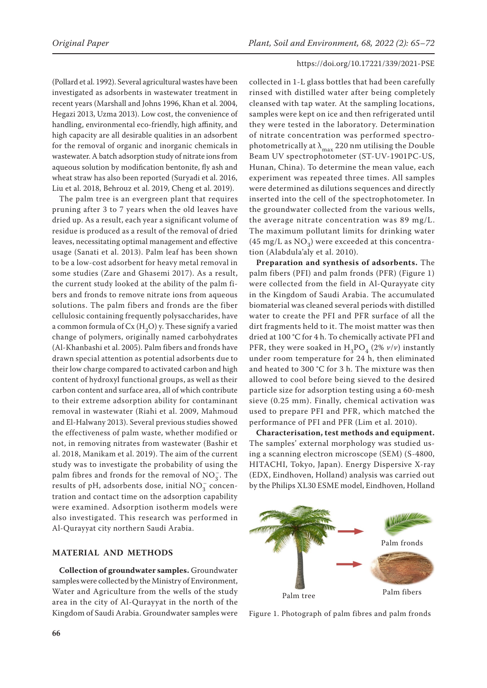(Pollard et al. 1992). Several agricultural wastes have been investigated as adsorbents in wastewater treatment in recent years (Marshall and Johns 1996, Khan et al. 2004, Hegazi 2013, Uzma 2013). Low cost, the convenience of handling, environmental eco-friendly, high affinity, and high capacity are all desirable qualities in an adsorbent for the removal of organic and inorganic chemicals in wastewater. A batch adsorption study of nitrate ions from aqueous solution by modification bentonite, fly ash and wheat straw has also been reported (Suryadi et al. 2016, Liu et al. 2018, Behrouz et al. 2019, Cheng et al. 2019).

The palm tree is an evergreen plant that requires pruning after 3 to 7 years when the old leaves have dried up. As a result, each year a significant volume of residue is produced as a result of the removal of dried leaves, necessitating optimal management and effective usage (Sanati et al. 2013). Palm leaf has been shown to be a low-cost adsorbent for heavy metal removal in some studies (Zare and Ghasemi 2017). As a result, the current study looked at the ability of the palm fibers and fronds to remove nitrate ions from aqueous solutions. The palm fibers and fronds are the fiber cellulosic containing frequently polysaccharides, have a common formula of  $Cx(H<sub>2</sub>O)$  y. These signify a varied change of polymers, originally named carbohydrates (Al-Khanbashi et al. 2005). Palm fibers and fronds have drawn special attention as potential adsorbents due to their low charge compared to activated carbon and high content of hydroxyl functional groups, as well as their carbon content and surface area, all of which contribute to their extreme adsorption ability for contaminant removal in wastewater (Riahi et al. 2009, Mahmoud and El-Halwany 2013). Several previous studies showed the effectiveness of palm waste, whether modified or not, in removing nitrates from wastewater (Bashir et al. 2018, Manikam et al. 2019). The aim of the current study was to investigate the probability of using the palm fibres and fronds for the removal of  $\mathrm{NO}_3^-$ . The results of pH, adsorbents dose, initial  $NO_3^-$  concentration and contact time on the adsorption capability were examined. Adsorption isotherm models were also investigated. This research was performed in Al-Qurayyat city northern Saudi Arabia.

## **MATERIAL AND METHODS**

**Collection of groundwater samples.** Groundwater samples were collected by the Ministry of Environment, Water and Agriculture from the wells of the study area in the city of Al-Qurayyat in the north of the Kingdom of Saudi Arabia. Groundwater samples were

collected in 1-L glass bottles that had been carefully rinsed with distilled water after being completely cleansed with tap water. At the sampling locations, samples were kept on ice and then refrigerated until they were tested in the laboratory. Determination of nitrate concentration was performed spectrophotometrically at  $\lambda_{\text{max}}$  220 nm utilising the Double Beam UV spectrophotometer (ST-UV-1901PC-US, Hunan, China). To determine the mean value, each experiment was repeated three times. All samples were determined as dilutions sequences and directly inserted into the cell of the spectrophotometer. In the groundwater collected from the various wells, the average nitrate concentration was 89 mg/L. The maximum pollutant limits for drinking water (45 mg/L as  $NO<sub>3</sub>$ ) were exceeded at this concentration (Alabdula'aly et al. 2010).

**Preparation and synthesis of adsorbents.** The palm fibers (PFI) and palm fronds (PFR) (Figure 1) were collected from the field in Al-Qurayyate city in the Kingdom of Saudi Arabia. The accumulated biomaterial was cleaned several periods with distilled water to create the PFI and PFR surface of all the dirt fragments held to it. The moist matter was then dried at 100 °C for 4 h. To chemically activate PFI and PFR, they were soaked in  $H_3PO_4$  (2%  $\nu/\nu$ ) instantly under room temperature for 24 h, then eliminated and heated to 300 °C for 3 h. The mixture was then allowed to cool before being sieved to the desired particle size for adsorption testing using a 60-mesh sieve (0.25 mm). Finally, chemical activation was used to prepare PFI and PFR, which matched the performance of PFI and PFR (Lim et al. 2010).

**Characterisation, test methods and equipment.** The samples' external morphology was studied using a scanning electron microscope (SEM) (S-4800, HITACHI, Tokyo, Japan). Energy Dispersive X-ray (EDX, Eindhoven, Holland) analysis was carried out by the Philips XL30 ESME model, Eindhoven, Holland



Figure 1. Photograph of palm fibres and palm fronds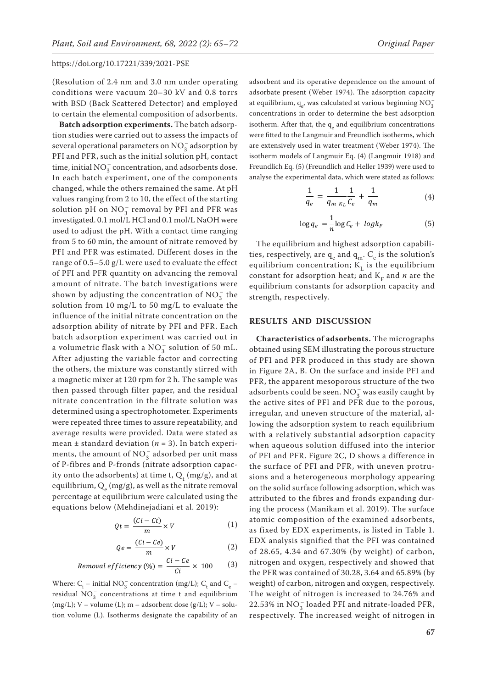(Resolution of 2.4 nm and 3.0 nm under operating conditions were vacuum 20–30 kV and 0.8 torrs with BSD (Back Scattered Detector) and employed to certain the elemental composition of adsorbents.

**Batch adsorption experiments.** The batch adsorption studies were carried out to assess the impacts of several operational parameters on  $\mathrm{NO}_3^-$  adsorption by PFI and PFR, such as the initial solution pH, contact time, initial  $\mathrm{NO_3^-}$  concentration, and adsorbents dose. In each batch experiment, one of the components changed, while the others remained the same. At pH values ranging from 2 to 10, the effect of the starting solution pH on  $\mathrm{NO_3^-}$  removal by PFI and PFR was investigated. 0.1 mol/L HCl and 0.1 mol/L NaOH were used to adjust the pH. With a contact time ranging from 5 to 60 min, the amount of nitrate removed by PFI and PFR was estimated. Different doses in the range of 0.5–5.0 g/L were used to evaluate the effect of PFI and PFR quantity on advancing the removal amount of nitrate. The batch investigations were shown by adjusting the concentration of  $NO_3^-$  the solution from 10 mg/L to 50 mg/L to evaluate the influence of the initial nitrate concentration on the adsorption ability of nitrate by PFI and PFR. Each batch adsorption experiment was carried out in a volumetric flask with a  $NO_3^-$  solution of 50 mL. After adjusting the variable factor and correcting the others, the mixture was constantly stirred with a magnetic mixer at 120 rpm for 2 h. The sample was then passed through filter paper, and the residual nitrate concentration in the filtrate solution was determined using a spectrophotometer. Experiments were repeated three times to assure repeatability, and average results were provided. Data were stated as mean  $\pm$  standard deviation ( $n = 3$ ). In batch experiments, the amount of  $\mathrm{NO_3^-}$  adsorbed per unit mass of P-fibres and P-fronds (nitrate adsorption capacity onto the adsorbents) at time t,  $Q_t$  (mg/g), and at equilibrium,  $Q_e$  (mg/g), as well as the nitrate removal percentage at equilibrium were calculated using the equations below (Mehdinejadiani et al. 2019):

$$
Qt = \frac{(Ci - Ct)}{m} \times V \tag{1}
$$

$$
Qe = \frac{(Ci - Ce)}{m} \times V \tag{2}
$$

Removal efficiency (%) = 
$$
\frac{Ci - Ce}{Ci} \times 100
$$
 (3)

Where:  $\rm C_i$  – initial  $\rm NO_3^-$  concentration (mg/L);  $\rm C_t$  and  $\rm C_e$  – residual  $NO_3^-$  concentrations at time t and equilibrium  $(mg/L); V - volume (L); m - adsorbent dose (g/L); V - solu$ tion volume (L). Isotherms designate the capability of an

adsorbent and its operative dependence on the amount of adsorbate present (Weber 1974). The adsorption capacity at equilibrium,  $\mathbf{q}_{\mathrm{e}}$  was calculated at various beginning  $\mathrm{NO}_3^$ concentrations in order to determine the best adsorption isotherm. After that, the q<sub>e</sub> and equilibrium concentrations were fitted to the Langmuir and Freundlich isotherms, which are extensively used in water treatment (Weber 1974). The isotherm models of Langmuir Eq. (4) (Langmuir 1918) and Freundlich Eq. (5) (Freundlich and Heller 1939) were used to analyse the experimental data, which were stated as follows:

$$
\frac{1}{q_e} = \frac{1}{q_{m \; K_L}} \frac{1}{C_e} + \frac{1}{q_m} \tag{4}
$$

$$
\log q_e = \frac{1}{n} \log C_e + \log k_F \tag{5}
$$

The equilibrium and highest adsorption capabilities, respectively, are  $q_e$  and  $q_m$ .  $C_e$  is the solution's equilibrium concentration;  $K<sub>L</sub>$  is the equilibrium constant for adsorption heat; and  $K<sub>F</sub>$  and *n* are the equilibrium constants for adsorption capacity and strength, respectively.

## **RESULTS AND DISCUSSION**

**Characteristics of adsorbents.** The micrographs obtained using SEM illustrating the porous structure of PFI and PFR produced in this study are shown in Figure 2A, B. On the surface and inside PFI and PFR, the apparent mesoporous structure of the two adsorbents could be seen.  $\mathrm{NO_3^-}$  was easily caught by the active sites of PFI and PFR due to the porous, irregular, and uneven structure of the material, allowing the adsorption system to reach equilibrium with a relatively substantial adsorption capacity when aqueous solution diffused into the interior of PFI and PFR. Figure 2C, D shows a difference in the surface of PFI and PFR, with uneven protrusions and a heterogeneous morphology appearing on the solid surface following adsorption, which was attributed to the fibres and fronds expanding during the process (Manikam et al. 2019). The surface atomic composition of the examined adsorbents, as fixed by EDX experiments, is listed in Table 1. EDX analysis signified that the PFI was contained of 28.65, 4.34 and 67.30% (by weight) of carbon, nitrogen and oxygen, respectively and showed that the PFR was contained of 30.28, 3.64 and 65.89% (by weight) of carbon, nitrogen and oxygen, respectively. The weight of nitrogen is increased to 24.76% and  $22.53\%$  in  $\rm NO_3^-$  loaded PFI and nitrate-loaded PFR, respectively. The increased weight of nitrogen in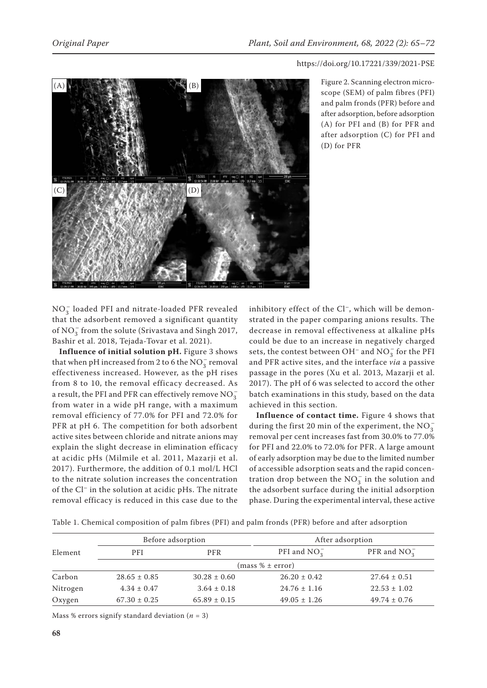

Figure 2. Scanning electron microscope (SEM) of palm fibres (PFI) and palm fronds (PFR) before and after adsorption, before adsorption (A) for PFI and (B) for PFR and after adsorption (C) for PFI and (D) for PFR

 $NO_3^-$  loaded PFI and nitrate-loaded PFR revealed that the adsorbent removed a significant quantity of NO<sub>3</sub> from the solute (Srivastava and Singh 2017, Bashir et al. 2018, Tejada-Tovar et al. 2021).

**Influence of initial solution pH.** Figure 3 shows that when pH increased from 2 to 6 the  $NO_3^-$  removal effectiveness increased. However, as the pH rises from 8 to 10, the removal efficacy decreased. As a result, the PFI and PFR can effectively remove  $NO_3^$ from water in a wide pH range, with a maximum removal efficiency of 77.0% for PFI and 72.0% for PFR at pH 6. The competition for both adsorbent active sites between chloride and nitrate anions may explain the slight decrease in elimination efficacy at acidic pHs (Milmile et al. 2011, Mazarji et al. 2017). Furthermore, the addition of 0.1 mol/L HCl to the nitrate solution increases the concentration of the Cl– in the solution at acidic pHs. The nitrate removal efficacy is reduced in this case due to the

inhibitory effect of the Cl<sup>-</sup>, which will be demonstrated in the paper comparing anions results. The decrease in removal effectiveness at alkaline pHs could be due to an increase in negatively charged sets, the contest between OH<sup>–</sup> and  $\mathrm{NO_3^-}$  for the PFI and PFR active sites, and the interface *via* a passive passage in the pores (Xu et al. 2013, Mazarji et al. 2017). The pH of 6 was selected to accord the other batch examinations in this study, based on the data achieved in this section.

**Influence of contact time.** Figure 4 shows that during the first 20 min of the experiment, the  $\mathrm{NO}_3^$ removal per cent increases fast from 30.0% to 77.0% for PFI and 22.0% to 72.0% for PFR. A large amount of early adsorption may be due to the limited number of accessible adsorption seats and the rapid concentration drop between the  $\mathrm{NO}_3^-$  in the solution and the adsorbent surface during the initial adsorption phase. During the experimental interval, these active

|  |  | Table 1. Chemical composition of palm fibres (PFI) and palm fronds (PFR) before and after adsorption |  |  |  |  |  |  |  |  |  |
|--|--|------------------------------------------------------------------------------------------------------|--|--|--|--|--|--|--|--|--|
|--|--|------------------------------------------------------------------------------------------------------|--|--|--|--|--|--|--|--|--|

|          | Before adsorption |                  | After adsorption |                  |  |  |  |  |  |
|----------|-------------------|------------------|------------------|------------------|--|--|--|--|--|
| Element  | <b>PFI</b>        | PFR              | PFI and $NO_3^-$ | PFR and $NO_3^-$ |  |  |  |  |  |
|          | (mass % ± error)  |                  |                  |                  |  |  |  |  |  |
| Carbon   | $28.65 \pm 0.85$  | $30.28 \pm 0.60$ | $26.20 \pm 0.42$ | $27.64 \pm 0.51$ |  |  |  |  |  |
| Nitrogen | $4.34 \pm 0.47$   | $3.64 \pm 0.18$  | $24.76 \pm 1.16$ | $22.53 \pm 1.02$ |  |  |  |  |  |
| Oxygen   | $67.30 \pm 0.25$  | $65.89 \pm 0.15$ | $49.05 \pm 1.26$ | $49.74 \pm 0.76$ |  |  |  |  |  |

Mass % errors signify standard deviation  $(n = 3)$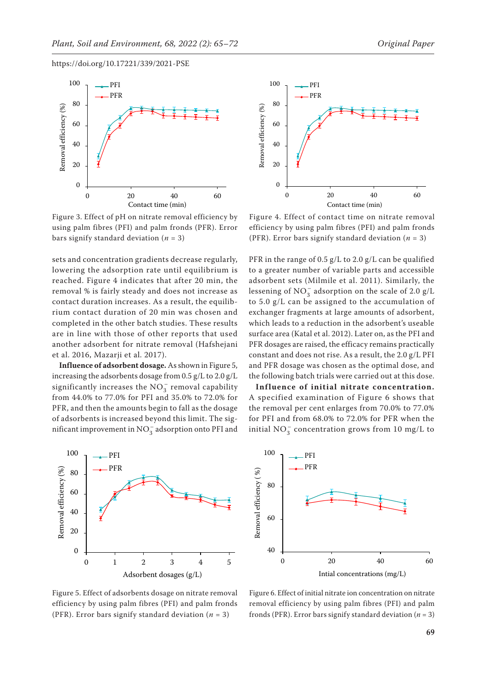

Figure 3. Effect of pH on nitrate removal efficiency by using palm fibres (PFI) and palm fronds (PFR). Error bars signify standard deviation  $(n = 3)$ 

sets and concentration gradients decrease regularly, lowering the adsorption rate until equilibrium is reached. Figure 4 indicates that after 20 min, the removal % is fairly steady and does not increase as contact duration increases. As a result, the equilibrium contact duration of 20 min was chosen and completed in the other batch studies. These results are in line with those of other reports that used another adsorbent for nitrate removal (Hafshejani et al. 2016, Mazarji et al. 2017).

**Influence of adsorbent dosage.** As shown in Figure 5, increasing the adsorbents dosage from 0.5 g/L to 2.0 g/L significantly increases the  $NO_3^-$  removal capability from 44.0% to 77.0% for PFI and 35.0% to 72.0% for PFR, and then the amounts begin to fall as the dosage of adsorbents is increased beyond this limit. The significant improvement in  $\mathrm{NO}_3^-$  adsorption onto PFI and





Figure 4. Effect of contact time on nitrate removal efficiency by using palm fibres (PFI) and palm fronds (PFR). Error bars signify standard deviation  $(n = 3)$ 

PFR in the range of 0.5 g/L to 2.0 g/L can be qualified to a greater number of variable parts and accessible adsorbent sets (Milmile et al. 2011). Similarly, the lessening of  $NO_3^-$  adsorption on the scale of 2.0 g/L to 5.0 g/L can be assigned to the accumulation of exchanger fragments at large amounts of adsorbent, which leads to a reduction in the adsorbent's useable surface area (Katal et al. 2012). Later on, as the PFI and PFR dosages are raised, the efficacy remains practically constant and does not rise. As a result, the 2.0 g/L PFI and PFR dosage was chosen as the optimal dose, and the following batch trials were carried out at this dose.

**Influence of initial nitrate concentration.** A specified examination of Figure 6 shows that the removal per cent enlarges from 70.0% to 77.0% for PFI and from 68.0% to 72.0% for PFR when the initial  $NO_3^-$  concentration grows from 10 mg/L to



Figure 5. Effect of adsorbents dosage on nitrate removal efficiency by using palm fibres (PFI) and palm fronds (PFR). Error bars signify standard deviation ( $n = 3$ )

Figure 6. Effect of initial nitrate ion concentration on nitrate removal efficiency by using palm fibres (PFI) and palm fronds (PFR). Error bars signify standard deviation  $(n = 3)$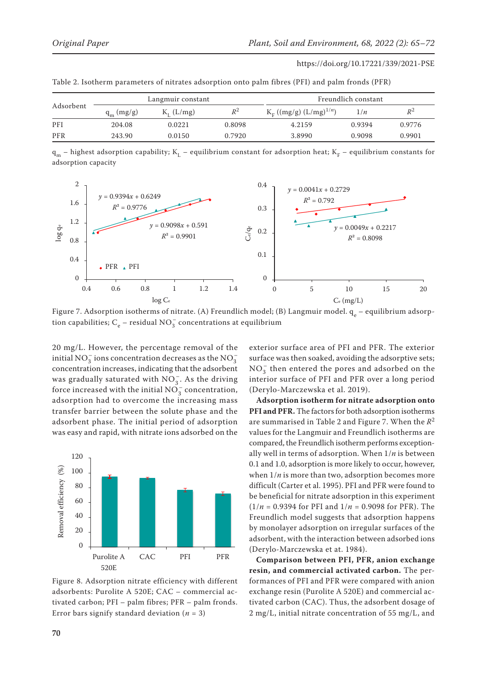| Adsorbent |              | Langmuir constant |        | Freundlich constant                   |        |        |  |
|-----------|--------------|-------------------|--------|---------------------------------------|--------|--------|--|
|           | $q_m$ (mg/g) | $K_I$ (L/mg)      | $R^2$  | $K_F$ ((mg/g) (L/mg) <sup>1/n</sup> ) | 1/n    | $R^2$  |  |
| PFI       | 204.08       | 0.0221            | 0.8098 | 4.2159                                | 0.9394 | 0.9776 |  |
| PFR       | 243.90       | 0.0150            | 0.7920 | 3.8990                                | 0.9098 | 0.9901 |  |

Table 2. Isotherm parameters of nitrates adsorption onto palm fibres (PFI) and palm fronds (PFR)

 $q_m$  – highest adsorption capability;  $K_L$  – equilibrium constant for adsorption heat;  $K_F$  – equilibrium constants for adsorption capacity



Figure 7. Adsorption isotherms of nitrate. (A) Freundlich model; (B) Langmuir model.  $\rm q_e$  – equilibrium adsorption capabilities;  $C_e$  – residual  $NO_3^-$  concentrations at equilibrium

20 mg/L. However, the percentage removal of the initial NO<sub>3</sub> ions concentration decreases as the NO<sub>3</sub> concentration increases, indicating that the adsorbent was gradually saturated with  $NO_3^-$ . As the driving force increased with the initial  $\mathrm{NO_3^-}$  concentration, adsorption had to overcome the increasing mass transfer barrier between the solute phase and the adsorbent phase. The initial period of adsorption was easy and rapid, with nitrate ions adsorbed on the



Figure 8. Adsorption nitrate efficiency with different adsorbents: Purolite A 520E; CAC – commercial activated carbon; PFI – palm fibres; PFR – palm fronds. Error bars signify standard deviation (*n* = 3)

exterior surface area of PFI and PFR. The exterior surface was then soaked, avoiding the adsorptive sets;  $NO_3^-$  then entered the pores and adsorbed on the interior surface of PFI and PFR over a long period (Derylo-Marczewska et al. 2019).

**Adsorption isotherm for nitrate adsorption onto PFI and PFR.** The factors for both adsorption isotherms are summarised in Table 2 and Figure 7. When the *R*<sup>2</sup> values for the Langmuir and Freundlich isotherms are compared, the Freundlich isotherm performs exceptionally well in terms of adsorption. When 1/*n* is between 0.1 and 1.0, adsorption is more likely to occur, however, when  $1/n$  is more than two, adsorption becomes more difficult (Carter et al. 1995). PFI and PFR were found to be beneficial for nitrate adsorption in this experiment (1/*n* = 0.9394 for PFI and 1/*n* = 0.9098 for PFR). The Freundlich model suggests that adsorption happens by monolayer adsorption on irregular surfaces of the adsorbent, with the interaction between adsorbed ions (Derylo-Marczewska et at. 1984).

**Comparison between PFI, PFR, anion exchange resin, and commercial activated carbon.** The performances of PFI and PFR were compared with anion exchange resin (Purolite A 520E) and commercial activated carbon (CAC). Thus, the adsorbent dosage of 2 mg/L, initial nitrate concentration of 55 mg/L, and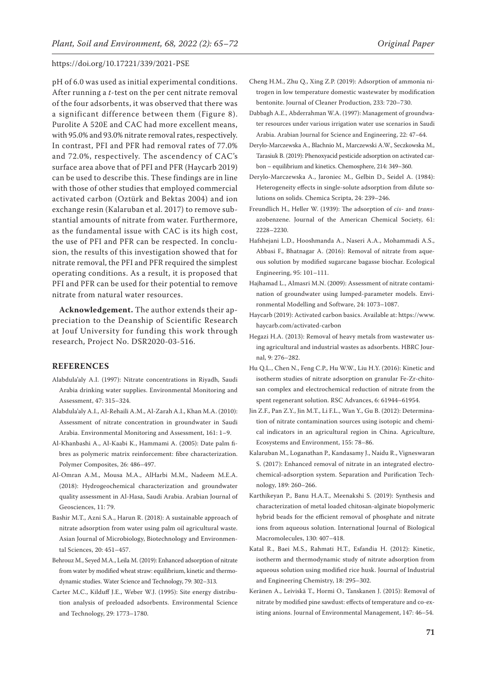pH of 6.0 was used as initial experimental conditions. After running a *t*-test on the per cent nitrate removal of the four adsorbents, it was observed that there was a significant difference between them (Figure 8). Purolite A 520E and CAC had more excellent means, with 95.0% and 93.0% nitrate removal rates, respectively. In contrast, PFI and PFR had removal rates of 77.0% and 72.0%, respectively. The ascendency of CAC's surface area above that of PFI and PFR (Haycarb 2019) can be used to describe this. These findings are in line with those of other studies that employed commercial activated carbon (Oztürk and Bektas 2004) and ion exchange resin (Kalaruban et al. 2017) to remove substantial amounts of nitrate from water. Furthermore, as the fundamental issue with CAC is its high cost, the use of PFI and PFR can be respected. In conclusion, the results of this investigation showed that for nitrate removal, the PFI and PFR required the simplest operating conditions. As a result, it is proposed that PFI and PFR can be used for their potential to remove nitrate from natural water resources.

**Acknowledgement.** The author extends their appreciation to the Deanship of Scientific Research at Jouf University for funding this work through research, Project No. DSR2020-03-516.

## **REFERENCES**

- Alabdula'aly A.I. (1997): Nitrate concentrations in Riyadh, Saudi Arabia drinking water supplies. Environmental Monitoring and Assessment, 47: 315–324.
- Alabdula'aly A.I., Al-Rehaili A.M., Al-Zarah A.I., Khan M.A. (2010): Assessment of nitrate concentration in groundwater in Saudi Arabia. Environmental Monitoring and Assessment, 161: 1–9.
- Al-Khanbashi A., Al-Kaabi K., Hammami A. (2005): Date palm fibres as polymeric matrix reinforcement: fibre characterization. Polymer Composites, 26: 486–497.
- Al-Omran A.M., Mousa M.A., AlHarbi M.M., Nadeem M.E.A. (2018): Hydrogeochemical characterization and groundwater quality assessment in Al-Hasa, Saudi Arabia. Arabian Journal of Geosciences, 11: 79.
- Bashir M.T., Azni S.A., Harun R. (2018): A sustainable approach of nitrate adsorption from water using palm oil agricultural waste. Asian Journal of Microbiology, Biotechnology and Environmental Sciences, 20: 451–457.
- Behrouz M., Seyed M.A., Leila M. (2019): Enhanced adsorption of nitrate from water by modified wheat straw: equilibrium, kinetic and thermodynamic studies. Water Science and Technology, 79: 302–313.
- Carter M.C., Kilduff J.E., Weber W.J. (1995): Site energy distribution analysis of preloaded adsorbents. Environmental Science and Technology, 29: 1773–1780.
- Cheng H.M., Zhu Q., Xing Z.P. (2019): Adsorption of ammonia nitrogen in low temperature domestic wastewater by modification bentonite. Journal of Cleaner Production, 233: 720–730.
- Dabbagh A.E., Abderrahman W.A. (1997): Management of groundwater resources under various irrigation water use scenarios in Saudi Arabia. Arabian Journal for Science and Engineering, 22: 47–64.
- Derylo-Marczewska A., Blachnio M., Marczewski A.W., Seczkowska M., Tarasiuk B. (2019): Phenoxyacid pesticide adsorption on activated carbon – equilibrium and kinetics. Chemosphere, 214: 349–360.
- Derylo-Marczewska A., Jaroniec M., Gelbin D., Seidel A. (1984): Heterogeneity effects in single-solute adsorption from dilute solutions on solids. Chemica Scripta, 24: 239–246.
- Freundlich H., Heller W. (1939): The adsorption of *cis* and *trans*azobenzene. Journal of the American Chemical Society, 61: 2228–2230.
- Hafshejani L.D., Hooshmanda A., Naseri A.A., Mohammadi A.S., Abbasi F., Bhatnagar A. (2016): Removal of nitrate from aqueous solution by modified sugarcane bagasse biochar. Ecological Engineering, 95: 101–111.
- Hajhamad L., Almasri M.N. (2009): Assessment of nitrate contamination of groundwater using lumped-parameter models. Environmental Modelling and Software, 24: 1073–1087.
- Haycarb (2019): Activated carbon basics. Available at: https://www. haycarb.com/activated-carbon
- Hegazi H.A. (2013): Removal of heavy metals from wastewater using agricultural and industrial wastes as adsorbents. HBRC Journal, 9: 276–282.
- Hu Q.L., Chen N., Feng C.P., Hu W.W., Liu H.Y. (2016): Kinetic and isotherm studies of nitrate adsorption on granular Fe-Zr-chitosan complex and electrochemical reduction of nitrate from the spent regenerant solution. RSC Advances, 6: 61944–61954.
- Jin Z.F., Pan Z.Y., Jin M.T., Li F.L., Wan Y., Gu B. (2012): Determination of nitrate contamination sources using isotopic and chemical indicators in an agricultural region in China. Agriculture, Ecosystems and Environment, 155: 78–86.
- Kalaruban M., Loganathan P., Kandasamy J., Naidu R., Vigneswaran S. (2017): Enhanced removal of nitrate in an integrated electrochemical-adsorption system. Separation and Purification Technology, 189: 260–266.
- Karthikeyan P., Banu H.A.T., Meenakshi S. (2019): Synthesis and characterization of metal loaded chitosan-alginate biopolymeric hybrid beads for the efficient removal of phosphate and nitrate ions from aqueous solution. International Journal of Biological Macromolecules, 130: 407–418.
- Katal R., Baei M.S., Rahmati H.T., Esfandia H. (2012): Kinetic, isotherm and thermodynamic study of nitrate adsorption from aqueous solution using modified rice husk. Journal of Industrial and Engineering Chemistry, 18: 295–302.
- Keränen A., Leiviskä T., Hormi O., Tanskanen J. (2015): Removal of nitrate by modified pine sawdust: effects of temperature and co-existing anions. Journal of Environmental Management, 147: 46–54.